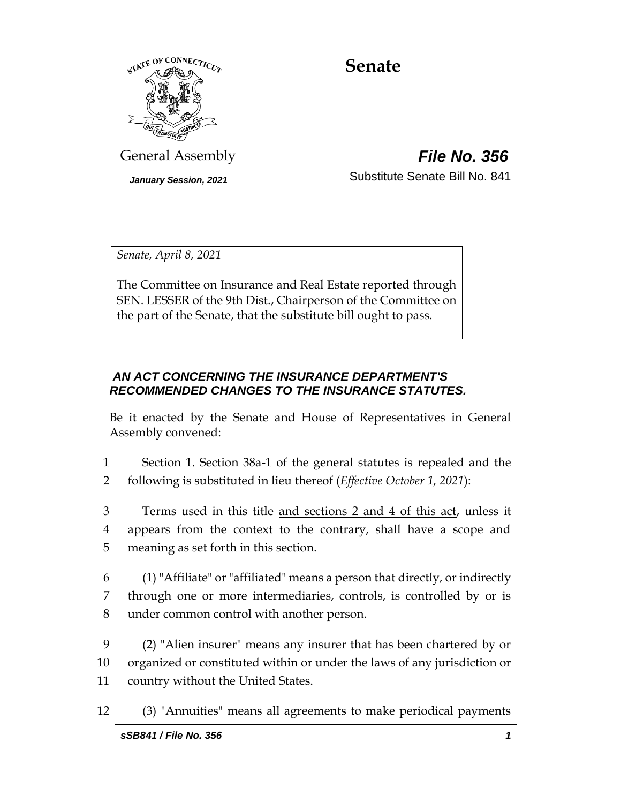

# **Senate**

General Assembly *File No. 356*

*January Session, 2021* Substitute Senate Bill No. 841

*Senate, April 8, 2021*

The Committee on Insurance and Real Estate reported through SEN. LESSER of the 9th Dist., Chairperson of the Committee on the part of the Senate, that the substitute bill ought to pass.

# *AN ACT CONCERNING THE INSURANCE DEPARTMENT'S RECOMMENDED CHANGES TO THE INSURANCE STATUTES.*

Be it enacted by the Senate and House of Representatives in General Assembly convened:

1 Section 1. Section 38a-1 of the general statutes is repealed and the 2 following is substituted in lieu thereof (*Effective October 1, 2021*):

3 Terms used in this title and sections 2 and 4 of this act, unless it 4 appears from the context to the contrary, shall have a scope and 5 meaning as set forth in this section.

6 (1) "Affiliate" or "affiliated" means a person that directly, or indirectly 7 through one or more intermediaries, controls, is controlled by or is 8 under common control with another person.

9 (2) "Alien insurer" means any insurer that has been chartered by or 10 organized or constituted within or under the laws of any jurisdiction or 11 country without the United States.

12 (3) "Annuities" means all agreements to make periodical payments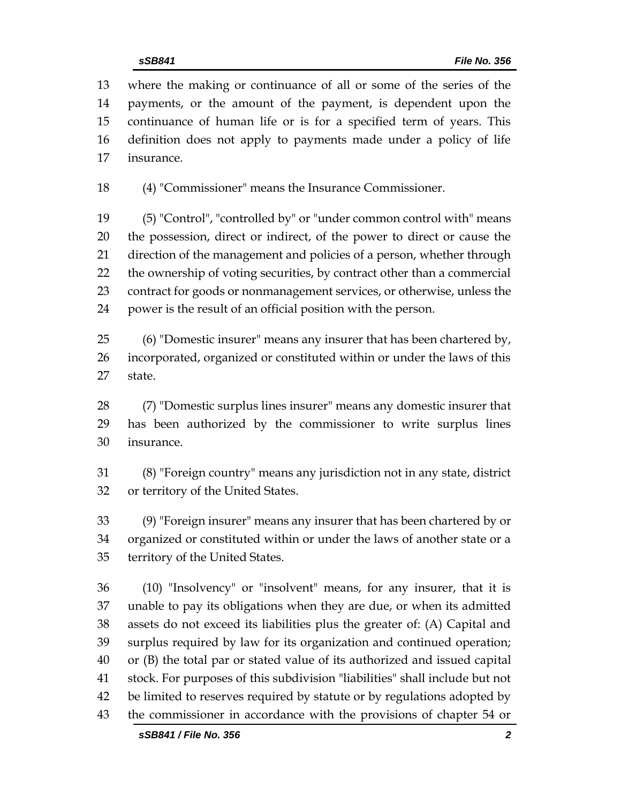where the making or continuance of all or some of the series of the payments, or the amount of the payment, is dependent upon the continuance of human life or is for a specified term of years. This definition does not apply to payments made under a policy of life insurance.

(4) "Commissioner" means the Insurance Commissioner.

 (5) "Control", "controlled by" or "under common control with" means the possession, direct or indirect, of the power to direct or cause the direction of the management and policies of a person, whether through the ownership of voting securities, by contract other than a commercial contract for goods or nonmanagement services, or otherwise, unless the power is the result of an official position with the person.

 (6) "Domestic insurer" means any insurer that has been chartered by, incorporated, organized or constituted within or under the laws of this state.

 (7) "Domestic surplus lines insurer" means any domestic insurer that has been authorized by the commissioner to write surplus lines insurance.

 (8) "Foreign country" means any jurisdiction not in any state, district or territory of the United States.

 (9) "Foreign insurer" means any insurer that has been chartered by or organized or constituted within or under the laws of another state or a territory of the United States.

 (10) "Insolvency" or "insolvent" means, for any insurer, that it is unable to pay its obligations when they are due, or when its admitted assets do not exceed its liabilities plus the greater of: (A) Capital and surplus required by law for its organization and continued operation; or (B) the total par or stated value of its authorized and issued capital stock. For purposes of this subdivision "liabilities" shall include but not be limited to reserves required by statute or by regulations adopted by the commissioner in accordance with the provisions of chapter 54 or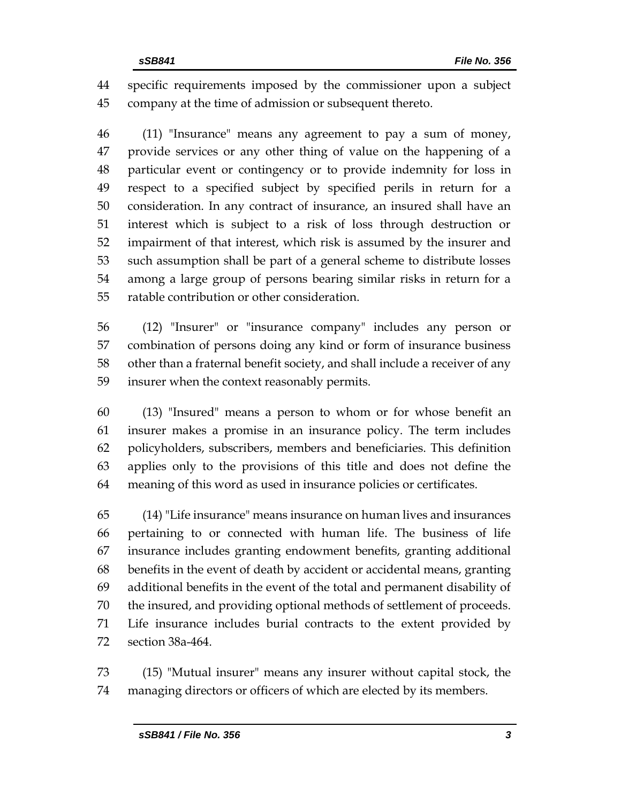specific requirements imposed by the commissioner upon a subject company at the time of admission or subsequent thereto.

 (11) "Insurance" means any agreement to pay a sum of money, provide services or any other thing of value on the happening of a particular event or contingency or to provide indemnity for loss in respect to a specified subject by specified perils in return for a consideration. In any contract of insurance, an insured shall have an interest which is subject to a risk of loss through destruction or impairment of that interest, which risk is assumed by the insurer and such assumption shall be part of a general scheme to distribute losses among a large group of persons bearing similar risks in return for a ratable contribution or other consideration.

 (12) "Insurer" or "insurance company" includes any person or combination of persons doing any kind or form of insurance business other than a fraternal benefit society, and shall include a receiver of any insurer when the context reasonably permits.

 (13) "Insured" means a person to whom or for whose benefit an insurer makes a promise in an insurance policy. The term includes policyholders, subscribers, members and beneficiaries. This definition applies only to the provisions of this title and does not define the meaning of this word as used in insurance policies or certificates.

 (14) "Life insurance" means insurance on human lives and insurances pertaining to or connected with human life. The business of life insurance includes granting endowment benefits, granting additional benefits in the event of death by accident or accidental means, granting additional benefits in the event of the total and permanent disability of the insured, and providing optional methods of settlement of proceeds. Life insurance includes burial contracts to the extent provided by section 38a-464.

 (15) "Mutual insurer" means any insurer without capital stock, the managing directors or officers of which are elected by its members.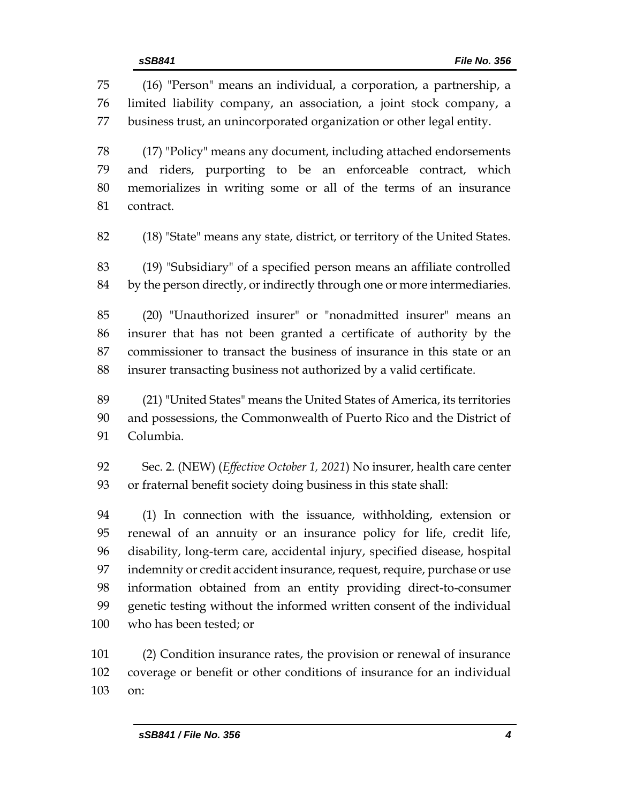(16) "Person" means an individual, a corporation, a partnership, a limited liability company, an association, a joint stock company, a business trust, an unincorporated organization or other legal entity. (17) "Policy" means any document, including attached endorsements and riders, purporting to be an enforceable contract, which memorializes in writing some or all of the terms of an insurance contract. (18) "State" means any state, district, or territory of the United States. (19) "Subsidiary" of a specified person means an affiliate controlled by the person directly, or indirectly through one or more intermediaries. (20) "Unauthorized insurer" or "nonadmitted insurer" means an insurer that has not been granted a certificate of authority by the commissioner to transact the business of insurance in this state or an insurer transacting business not authorized by a valid certificate. (21) "United States" means the United States of America, its territories and possessions, the Commonwealth of Puerto Rico and the District of Columbia. Sec. 2. (NEW) (*Effective October 1, 2021*) No insurer, health care center or fraternal benefit society doing business in this state shall: (1) In connection with the issuance, withholding, extension or renewal of an annuity or an insurance policy for life, credit life, disability, long-term care, accidental injury, specified disease, hospital

 indemnity or credit accident insurance, request, require, purchase or use information obtained from an entity providing direct-to-consumer genetic testing without the informed written consent of the individual who has been tested; or

 (2) Condition insurance rates, the provision or renewal of insurance coverage or benefit or other conditions of insurance for an individual on: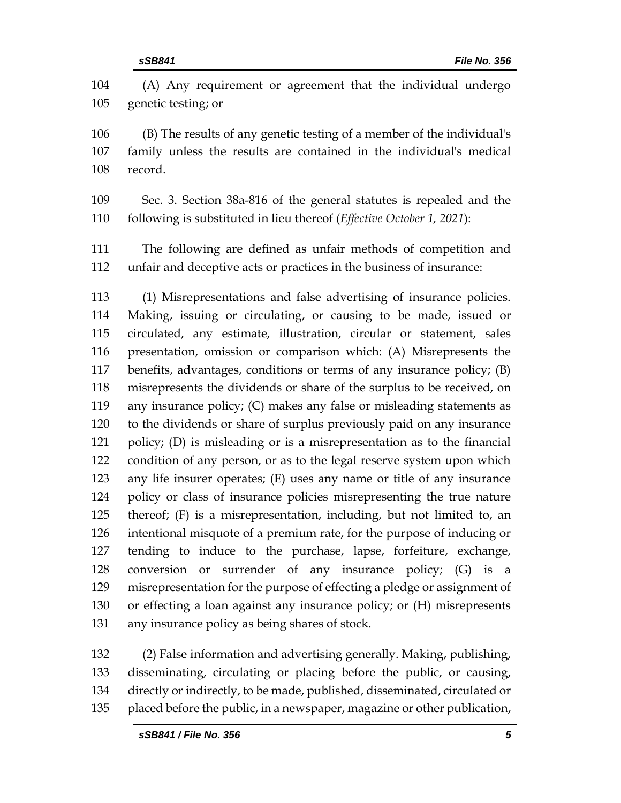(A) Any requirement or agreement that the individual undergo genetic testing; or

 (B) The results of any genetic testing of a member of the individual's family unless the results are contained in the individual's medical record.

 Sec. 3. Section 38a-816 of the general statutes is repealed and the following is substituted in lieu thereof (*Effective October 1, 2021*):

 The following are defined as unfair methods of competition and unfair and deceptive acts or practices in the business of insurance:

 (1) Misrepresentations and false advertising of insurance policies. Making, issuing or circulating, or causing to be made, issued or circulated, any estimate, illustration, circular or statement, sales presentation, omission or comparison which: (A) Misrepresents the benefits, advantages, conditions or terms of any insurance policy; (B) misrepresents the dividends or share of the surplus to be received, on any insurance policy; (C) makes any false or misleading statements as to the dividends or share of surplus previously paid on any insurance policy; (D) is misleading or is a misrepresentation as to the financial condition of any person, or as to the legal reserve system upon which any life insurer operates; (E) uses any name or title of any insurance policy or class of insurance policies misrepresenting the true nature thereof; (F) is a misrepresentation, including, but not limited to, an intentional misquote of a premium rate, for the purpose of inducing or tending to induce to the purchase, lapse, forfeiture, exchange, conversion or surrender of any insurance policy; (G) is a misrepresentation for the purpose of effecting a pledge or assignment of or effecting a loan against any insurance policy; or (H) misrepresents any insurance policy as being shares of stock.

 (2) False information and advertising generally. Making, publishing, disseminating, circulating or placing before the public, or causing, directly or indirectly, to be made, published, disseminated, circulated or placed before the public, in a newspaper, magazine or other publication,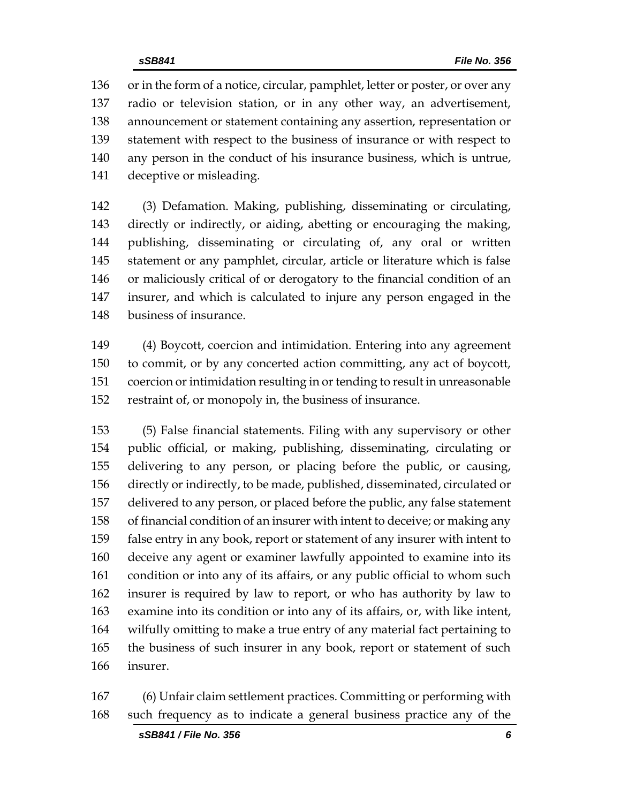or in the form of a notice, circular, pamphlet, letter or poster, or over any radio or television station, or in any other way, an advertisement, announcement or statement containing any assertion, representation or statement with respect to the business of insurance or with respect to any person in the conduct of his insurance business, which is untrue, deceptive or misleading.

 (3) Defamation. Making, publishing, disseminating or circulating, directly or indirectly, or aiding, abetting or encouraging the making, publishing, disseminating or circulating of, any oral or written statement or any pamphlet, circular, article or literature which is false or maliciously critical of or derogatory to the financial condition of an insurer, and which is calculated to injure any person engaged in the business of insurance.

 (4) Boycott, coercion and intimidation. Entering into any agreement to commit, or by any concerted action committing, any act of boycott, coercion or intimidation resulting in or tending to result in unreasonable restraint of, or monopoly in, the business of insurance.

 (5) False financial statements. Filing with any supervisory or other public official, or making, publishing, disseminating, circulating or delivering to any person, or placing before the public, or causing, directly or indirectly, to be made, published, disseminated, circulated or delivered to any person, or placed before the public, any false statement of financial condition of an insurer with intent to deceive; or making any false entry in any book, report or statement of any insurer with intent to deceive any agent or examiner lawfully appointed to examine into its condition or into any of its affairs, or any public official to whom such insurer is required by law to report, or who has authority by law to examine into its condition or into any of its affairs, or, with like intent, wilfully omitting to make a true entry of any material fact pertaining to the business of such insurer in any book, report or statement of such insurer.

 (6) Unfair claim settlement practices. Committing or performing with such frequency as to indicate a general business practice any of the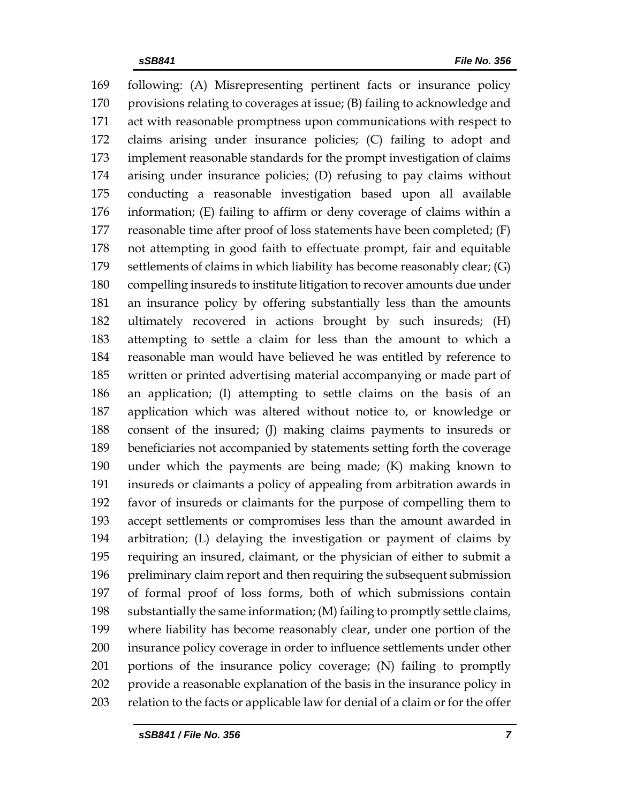following: (A) Misrepresenting pertinent facts or insurance policy provisions relating to coverages at issue; (B) failing to acknowledge and act with reasonable promptness upon communications with respect to claims arising under insurance policies; (C) failing to adopt and implement reasonable standards for the prompt investigation of claims arising under insurance policies; (D) refusing to pay claims without conducting a reasonable investigation based upon all available information; (E) failing to affirm or deny coverage of claims within a reasonable time after proof of loss statements have been completed; (F) not attempting in good faith to effectuate prompt, fair and equitable settlements of claims in which liability has become reasonably clear; (G) compelling insureds to institute litigation to recover amounts due under an insurance policy by offering substantially less than the amounts ultimately recovered in actions brought by such insureds; (H) attempting to settle a claim for less than the amount to which a reasonable man would have believed he was entitled by reference to written or printed advertising material accompanying or made part of an application; (I) attempting to settle claims on the basis of an application which was altered without notice to, or knowledge or consent of the insured; (J) making claims payments to insureds or beneficiaries not accompanied by statements setting forth the coverage under which the payments are being made; (K) making known to insureds or claimants a policy of appealing from arbitration awards in favor of insureds or claimants for the purpose of compelling them to accept settlements or compromises less than the amount awarded in arbitration; (L) delaying the investigation or payment of claims by requiring an insured, claimant, or the physician of either to submit a preliminary claim report and then requiring the subsequent submission of formal proof of loss forms, both of which submissions contain substantially the same information; (M) failing to promptly settle claims, where liability has become reasonably clear, under one portion of the insurance policy coverage in order to influence settlements under other portions of the insurance policy coverage; (N) failing to promptly provide a reasonable explanation of the basis in the insurance policy in relation to the facts or applicable law for denial of a claim or for the offer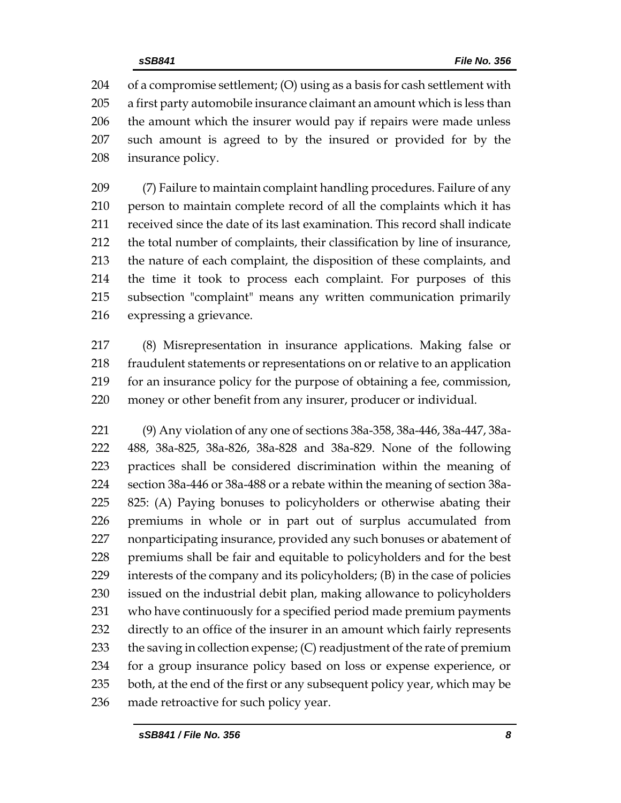of a compromise settlement; (O) using as a basis for cash settlement with a first party automobile insurance claimant an amount which is less than the amount which the insurer would pay if repairs were made unless such amount is agreed to by the insured or provided for by the insurance policy.

 (7) Failure to maintain complaint handling procedures. Failure of any person to maintain complete record of all the complaints which it has received since the date of its last examination. This record shall indicate the total number of complaints, their classification by line of insurance, the nature of each complaint, the disposition of these complaints, and the time it took to process each complaint. For purposes of this subsection "complaint" means any written communication primarily expressing a grievance.

 (8) Misrepresentation in insurance applications. Making false or fraudulent statements or representations on or relative to an application for an insurance policy for the purpose of obtaining a fee, commission, money or other benefit from any insurer, producer or individual.

 (9) Any violation of any one of sections 38a-358, 38a-446, 38a-447, 38a- 488, 38a-825, 38a-826, 38a-828 and 38a-829. None of the following practices shall be considered discrimination within the meaning of section 38a-446 or 38a-488 or a rebate within the meaning of section 38a- 825: (A) Paying bonuses to policyholders or otherwise abating their premiums in whole or in part out of surplus accumulated from nonparticipating insurance, provided any such bonuses or abatement of premiums shall be fair and equitable to policyholders and for the best interests of the company and its policyholders; (B) in the case of policies issued on the industrial debit plan, making allowance to policyholders who have continuously for a specified period made premium payments directly to an office of the insurer in an amount which fairly represents 233 the saving in collection expense; (C) readjustment of the rate of premium for a group insurance policy based on loss or expense experience, or 235 both, at the end of the first or any subsequent policy year, which may be made retroactive for such policy year.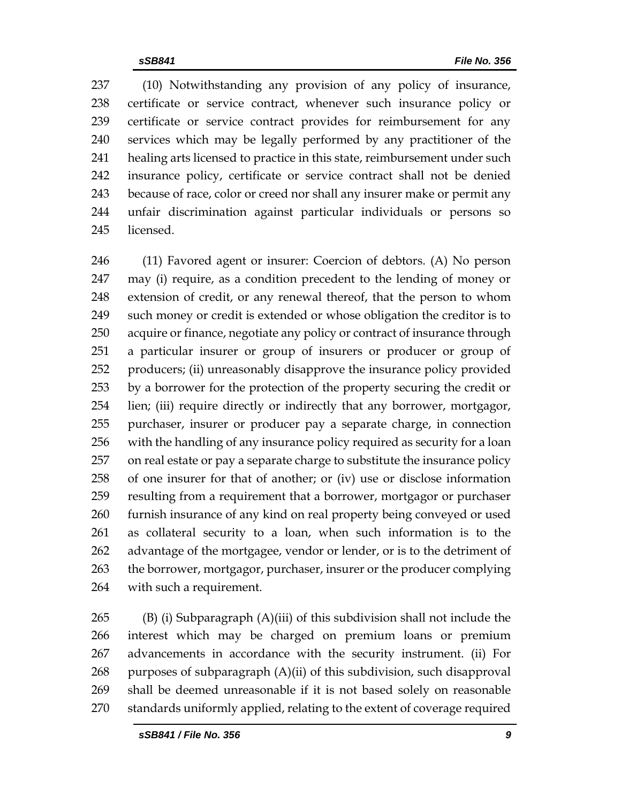(10) Notwithstanding any provision of any policy of insurance, certificate or service contract, whenever such insurance policy or certificate or service contract provides for reimbursement for any services which may be legally performed by any practitioner of the healing arts licensed to practice in this state, reimbursement under such insurance policy, certificate or service contract shall not be denied because of race, color or creed nor shall any insurer make or permit any unfair discrimination against particular individuals or persons so licensed.

 (11) Favored agent or insurer: Coercion of debtors. (A) No person may (i) require, as a condition precedent to the lending of money or extension of credit, or any renewal thereof, that the person to whom such money or credit is extended or whose obligation the creditor is to acquire or finance, negotiate any policy or contract of insurance through a particular insurer or group of insurers or producer or group of producers; (ii) unreasonably disapprove the insurance policy provided by a borrower for the protection of the property securing the credit or lien; (iii) require directly or indirectly that any borrower, mortgagor, purchaser, insurer or producer pay a separate charge, in connection with the handling of any insurance policy required as security for a loan on real estate or pay a separate charge to substitute the insurance policy of one insurer for that of another; or (iv) use or disclose information resulting from a requirement that a borrower, mortgagor or purchaser furnish insurance of any kind on real property being conveyed or used as collateral security to a loan, when such information is to the advantage of the mortgagee, vendor or lender, or is to the detriment of the borrower, mortgagor, purchaser, insurer or the producer complying with such a requirement.

 (B) (i) Subparagraph (A)(iii) of this subdivision shall not include the interest which may be charged on premium loans or premium advancements in accordance with the security instrument. (ii) For 268 purposes of subparagraph  $(A)(ii)$  of this subdivision, such disapproval shall be deemed unreasonable if it is not based solely on reasonable standards uniformly applied, relating to the extent of coverage required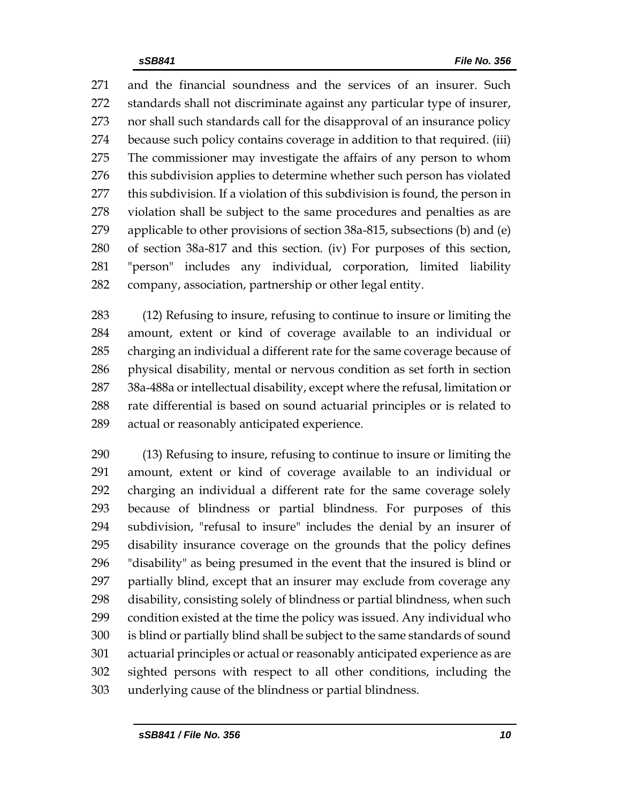and the financial soundness and the services of an insurer. Such standards shall not discriminate against any particular type of insurer, nor shall such standards call for the disapproval of an insurance policy because such policy contains coverage in addition to that required. (iii) The commissioner may investigate the affairs of any person to whom 276 this subdivision applies to determine whether such person has violated this subdivision. If a violation of this subdivision is found, the person in violation shall be subject to the same procedures and penalties as are applicable to other provisions of section 38a-815, subsections (b) and (e) of section 38a-817 and this section. (iv) For purposes of this section, "person" includes any individual, corporation, limited liability company, association, partnership or other legal entity.

 (12) Refusing to insure, refusing to continue to insure or limiting the amount, extent or kind of coverage available to an individual or charging an individual a different rate for the same coverage because of physical disability, mental or nervous condition as set forth in section 38a-488a or intellectual disability, except where the refusal, limitation or rate differential is based on sound actuarial principles or is related to actual or reasonably anticipated experience.

 (13) Refusing to insure, refusing to continue to insure or limiting the amount, extent or kind of coverage available to an individual or charging an individual a different rate for the same coverage solely because of blindness or partial blindness. For purposes of this subdivision, "refusal to insure" includes the denial by an insurer of disability insurance coverage on the grounds that the policy defines "disability" as being presumed in the event that the insured is blind or partially blind, except that an insurer may exclude from coverage any disability, consisting solely of blindness or partial blindness, when such condition existed at the time the policy was issued. Any individual who is blind or partially blind shall be subject to the same standards of sound actuarial principles or actual or reasonably anticipated experience as are sighted persons with respect to all other conditions, including the underlying cause of the blindness or partial blindness.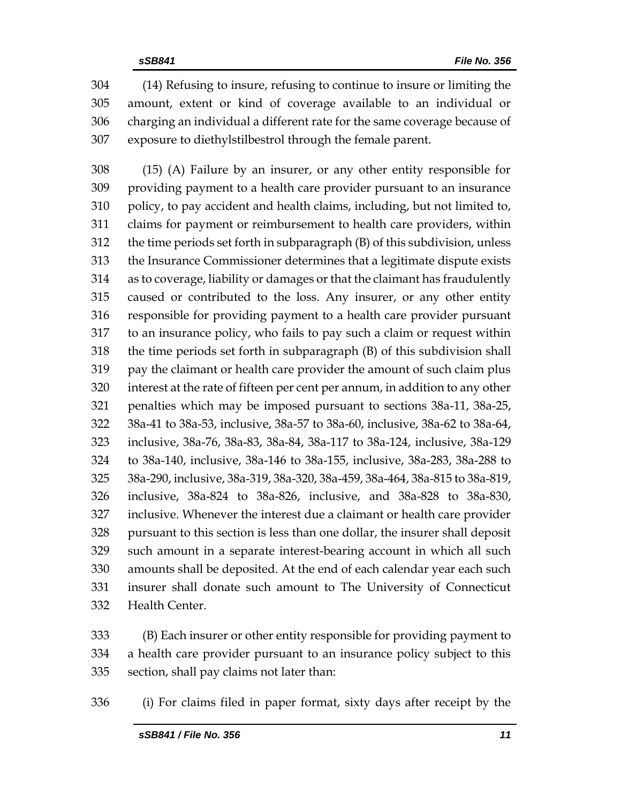(14) Refusing to insure, refusing to continue to insure or limiting the amount, extent or kind of coverage available to an individual or charging an individual a different rate for the same coverage because of exposure to diethylstilbestrol through the female parent.

 (15) (A) Failure by an insurer, or any other entity responsible for providing payment to a health care provider pursuant to an insurance policy, to pay accident and health claims, including, but not limited to, claims for payment or reimbursement to health care providers, within the time periods set forth in subparagraph (B) of this subdivision, unless the Insurance Commissioner determines that a legitimate dispute exists as to coverage, liability or damages or that the claimant has fraudulently caused or contributed to the loss. Any insurer, or any other entity responsible for providing payment to a health care provider pursuant to an insurance policy, who fails to pay such a claim or request within the time periods set forth in subparagraph (B) of this subdivision shall pay the claimant or health care provider the amount of such claim plus interest at the rate of fifteen per cent per annum, in addition to any other penalties which may be imposed pursuant to sections 38a-11, 38a-25, 38a-41 to 38a-53, inclusive, 38a-57 to 38a-60, inclusive, 38a-62 to 38a-64, inclusive, 38a-76, 38a-83, 38a-84, 38a-117 to 38a-124, inclusive, 38a-129 to 38a-140, inclusive, 38a-146 to 38a-155, inclusive, 38a-283, 38a-288 to 38a-290, inclusive, 38a-319, 38a-320, 38a-459, 38a-464, 38a-815 to 38a-819, inclusive, 38a-824 to 38a-826, inclusive, and 38a-828 to 38a-830, inclusive. Whenever the interest due a claimant or health care provider pursuant to this section is less than one dollar, the insurer shall deposit such amount in a separate interest-bearing account in which all such amounts shall be deposited. At the end of each calendar year each such insurer shall donate such amount to The University of Connecticut Health Center.

 (B) Each insurer or other entity responsible for providing payment to a health care provider pursuant to an insurance policy subject to this section, shall pay claims not later than:

(i) For claims filed in paper format, sixty days after receipt by the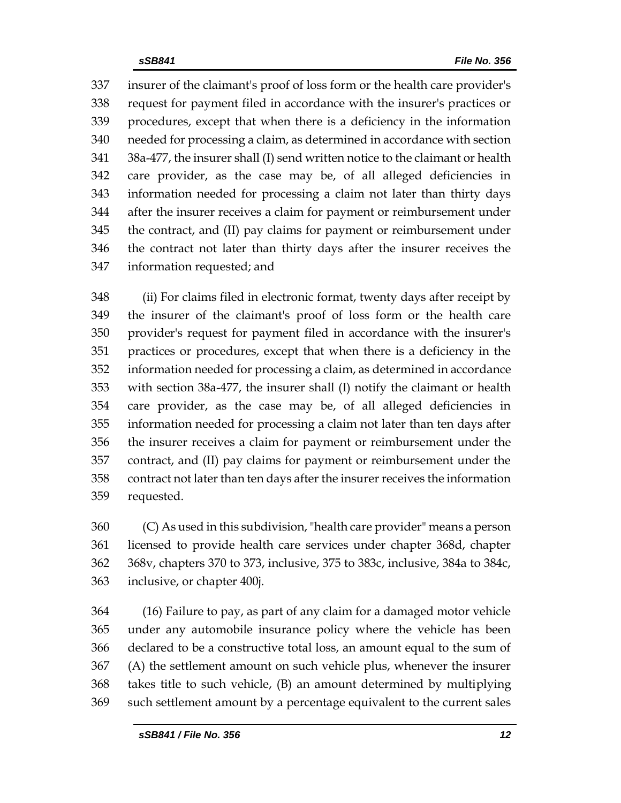insurer of the claimant's proof of loss form or the health care provider's request for payment filed in accordance with the insurer's practices or procedures, except that when there is a deficiency in the information needed for processing a claim, as determined in accordance with section 38a-477, the insurer shall (I) send written notice to the claimant or health care provider, as the case may be, of all alleged deficiencies in information needed for processing a claim not later than thirty days after the insurer receives a claim for payment or reimbursement under the contract, and (II) pay claims for payment or reimbursement under the contract not later than thirty days after the insurer receives the information requested; and

 (ii) For claims filed in electronic format, twenty days after receipt by the insurer of the claimant's proof of loss form or the health care provider's request for payment filed in accordance with the insurer's practices or procedures, except that when there is a deficiency in the information needed for processing a claim, as determined in accordance with section 38a-477, the insurer shall (I) notify the claimant or health care provider, as the case may be, of all alleged deficiencies in information needed for processing a claim not later than ten days after the insurer receives a claim for payment or reimbursement under the contract, and (II) pay claims for payment or reimbursement under the contract not later than ten days after the insurer receives the information requested.

 (C) As used in this subdivision, "health care provider" means a person licensed to provide health care services under chapter 368d, chapter 368v, chapters 370 to 373, inclusive, 375 to 383c, inclusive, 384a to 384c, inclusive, or chapter 400j.

 (16) Failure to pay, as part of any claim for a damaged motor vehicle under any automobile insurance policy where the vehicle has been declared to be a constructive total loss, an amount equal to the sum of (A) the settlement amount on such vehicle plus, whenever the insurer takes title to such vehicle, (B) an amount determined by multiplying such settlement amount by a percentage equivalent to the current sales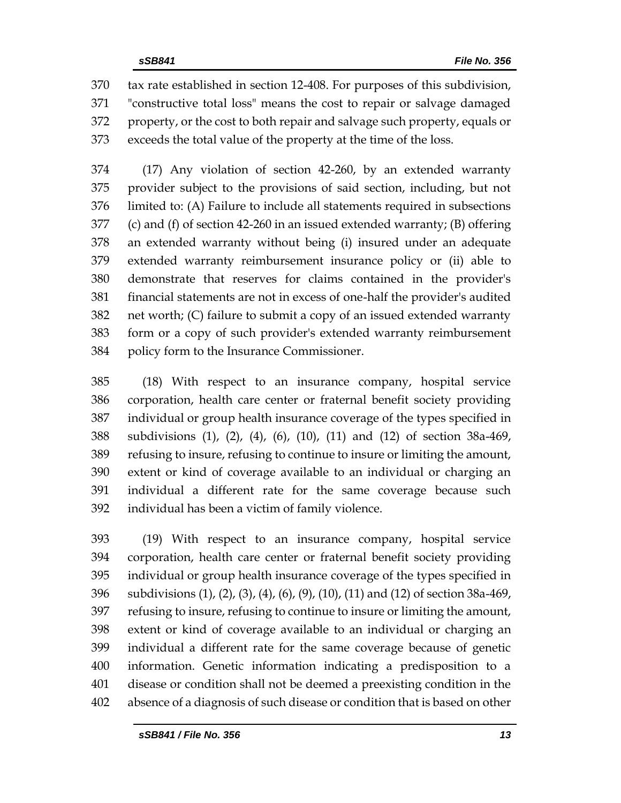tax rate established in section 12-408. For purposes of this subdivision, "constructive total loss" means the cost to repair or salvage damaged property, or the cost to both repair and salvage such property, equals or exceeds the total value of the property at the time of the loss.

 (17) Any violation of section 42-260, by an extended warranty provider subject to the provisions of said section, including, but not limited to: (A) Failure to include all statements required in subsections (c) and (f) of section 42-260 in an issued extended warranty; (B) offering an extended warranty without being (i) insured under an adequate extended warranty reimbursement insurance policy or (ii) able to demonstrate that reserves for claims contained in the provider's financial statements are not in excess of one-half the provider's audited net worth; (C) failure to submit a copy of an issued extended warranty form or a copy of such provider's extended warranty reimbursement policy form to the Insurance Commissioner.

 (18) With respect to an insurance company, hospital service corporation, health care center or fraternal benefit society providing individual or group health insurance coverage of the types specified in subdivisions (1), (2), (4), (6), (10), (11) and (12) of section 38a-469, refusing to insure, refusing to continue to insure or limiting the amount, extent or kind of coverage available to an individual or charging an individual a different rate for the same coverage because such individual has been a victim of family violence.

 (19) With respect to an insurance company, hospital service corporation, health care center or fraternal benefit society providing individual or group health insurance coverage of the types specified in subdivisions (1), (2), (3), (4), (6), (9), (10), (11) and (12) of section 38a-469, refusing to insure, refusing to continue to insure or limiting the amount, extent or kind of coverage available to an individual or charging an individual a different rate for the same coverage because of genetic information. Genetic information indicating a predisposition to a disease or condition shall not be deemed a preexisting condition in the absence of a diagnosis of such disease or condition that is based on other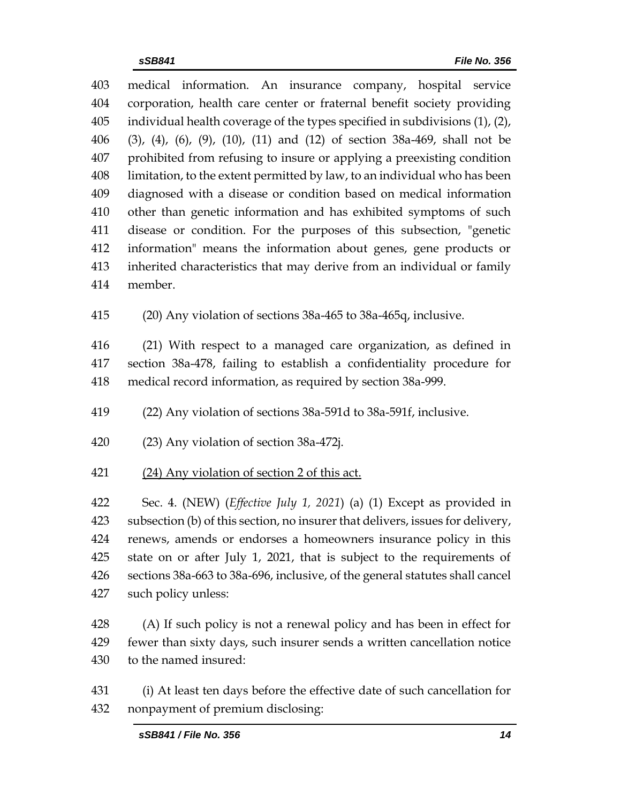medical information. An insurance company, hospital service corporation, health care center or fraternal benefit society providing individual health coverage of the types specified in subdivisions (1), (2), (3), (4), (6), (9), (10), (11) and (12) of section 38a-469, shall not be prohibited from refusing to insure or applying a preexisting condition limitation, to the extent permitted by law, to an individual who has been diagnosed with a disease or condition based on medical information other than genetic information and has exhibited symptoms of such disease or condition. For the purposes of this subsection, "genetic information" means the information about genes, gene products or inherited characteristics that may derive from an individual or family member.

(20) Any violation of sections 38a-465 to 38a-465q, inclusive.

 (21) With respect to a managed care organization, as defined in section 38a-478, failing to establish a confidentiality procedure for medical record information, as required by section 38a-999.

(22) Any violation of sections 38a-591d to 38a-591f, inclusive.

- (23) Any violation of section 38a-472j.
- 421 (24) Any violation of section 2 of this act.

 Sec. 4. (NEW) (*Effective July 1, 2021*) (a) (1) Except as provided in subsection (b) of this section, no insurer that delivers, issues for delivery, renews, amends or endorses a homeowners insurance policy in this state on or after July 1, 2021, that is subject to the requirements of sections 38a-663 to 38a-696, inclusive, of the general statutes shall cancel such policy unless:

428 (A) If such policy is not a renewal policy and has been in effect for fewer than sixty days, such insurer sends a written cancellation notice to the named insured:

 (i) At least ten days before the effective date of such cancellation for nonpayment of premium disclosing: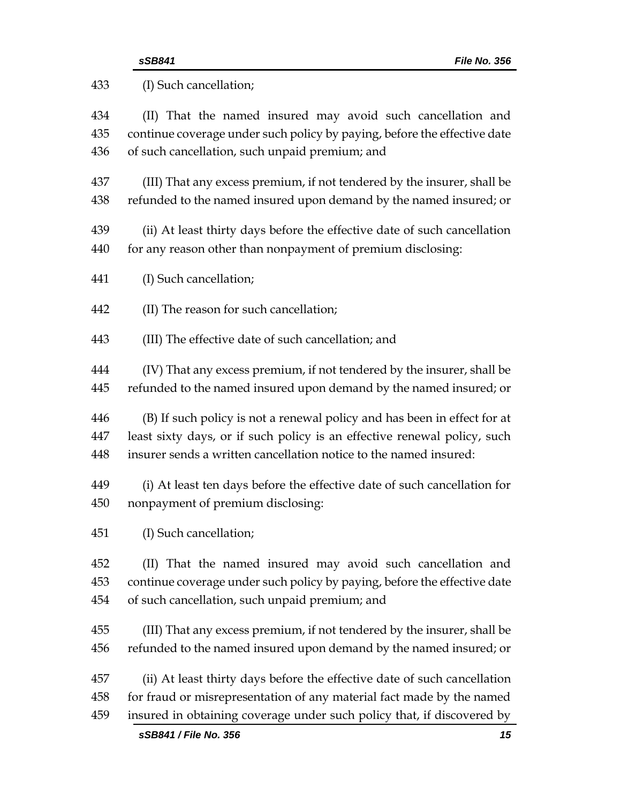| 433 | (I) Such cancellation;                                                   |  |  |
|-----|--------------------------------------------------------------------------|--|--|
| 434 | (II) That the named insured may avoid such cancellation and              |  |  |
| 435 | continue coverage under such policy by paying, before the effective date |  |  |
| 436 | of such cancellation, such unpaid premium; and                           |  |  |
| 437 | (III) That any excess premium, if not tendered by the insurer, shall be  |  |  |
| 438 | refunded to the named insured upon demand by the named insured; or       |  |  |
| 439 | (ii) At least thirty days before the effective date of such cancellation |  |  |
| 440 | for any reason other than nonpayment of premium disclosing:              |  |  |
| 441 | (I) Such cancellation;                                                   |  |  |
| 442 | (II) The reason for such cancellation;                                   |  |  |
| 443 | (III) The effective date of such cancellation; and                       |  |  |
| 444 | (IV) That any excess premium, if not tendered by the insurer, shall be   |  |  |
| 445 | refunded to the named insured upon demand by the named insured; or       |  |  |
| 446 | (B) If such policy is not a renewal policy and has been in effect for at |  |  |
| 447 | least sixty days, or if such policy is an effective renewal policy, such |  |  |
| 448 | insurer sends a written cancellation notice to the named insured:        |  |  |
| 449 | (i) At least ten days before the effective date of such cancellation for |  |  |
| 450 | nonpayment of premium disclosing:                                        |  |  |
| 451 | (I) Such cancellation;                                                   |  |  |
| 452 | (II) That the named insured may avoid such cancellation and              |  |  |
| 453 | continue coverage under such policy by paying, before the effective date |  |  |
| 454 | of such cancellation, such unpaid premium; and                           |  |  |
| 455 | (III) That any excess premium, if not tendered by the insurer, shall be  |  |  |
| 456 | refunded to the named insured upon demand by the named insured; or       |  |  |
| 457 | (ii) At least thirty days before the effective date of such cancellation |  |  |
| 458 | for fraud or misrepresentation of any material fact made by the named    |  |  |
| 459 | insured in obtaining coverage under such policy that, if discovered by   |  |  |
|     | sSB841 / File No. 356<br>15                                              |  |  |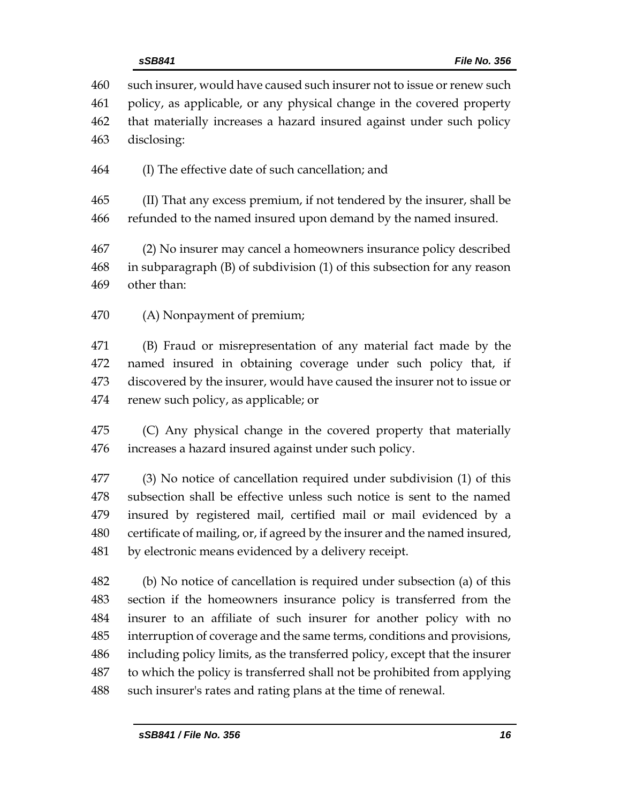| 460 | such insurer, would have caused such insurer not to issue or renew such     |
|-----|-----------------------------------------------------------------------------|
| 461 | policy, as applicable, or any physical change in the covered property       |
| 462 | that materially increases a hazard insured against under such policy        |
| 463 | disclosing:                                                                 |
| 464 | (I) The effective date of such cancellation; and                            |
| 465 | (II) That any excess premium, if not tendered by the insurer, shall be      |
| 466 | refunded to the named insured upon demand by the named insured.             |
| 467 | (2) No insurer may cancel a homeowners insurance policy described           |
| 468 | in subparagraph (B) of subdivision (1) of this subsection for any reason    |
| 469 | other than:                                                                 |
| 470 | (A) Nonpayment of premium;                                                  |
| 471 | (B) Fraud or misrepresentation of any material fact made by the             |
| 472 | named insured in obtaining coverage under such policy that, if              |
| 473 | discovered by the insurer, would have caused the insurer not to issue or    |
| 474 | renew such policy, as applicable; or                                        |
| 475 | (C) Any physical change in the covered property that materially             |
| 476 | increases a hazard insured against under such policy.                       |
| 477 | (3) No notice of cancellation required under subdivision (1) of this        |
| 478 | subsection shall be effective unless such notice is sent to the named       |
| 479 | insured by registered mail, certified mail or mail evidenced by a           |
| 480 | certificate of mailing, or, if agreed by the insurer and the named insured, |
| 481 | by electronic means evidenced by a delivery receipt.                        |
| 482 | (b) No notice of cancellation is required under subsection (a) of this      |
| 483 | section if the homeowners insurance policy is transferred from the          |
| 484 | insurer to an affiliate of such insurer for another policy with no          |
| 485 | interruption of coverage and the same terms, conditions and provisions,     |
| 486 | including policy limits, as the transferred policy, except that the insurer |
| 487 | to which the policy is transferred shall not be prohibited from applying    |
| 488 | such insurer's rates and rating plans at the time of renewal.               |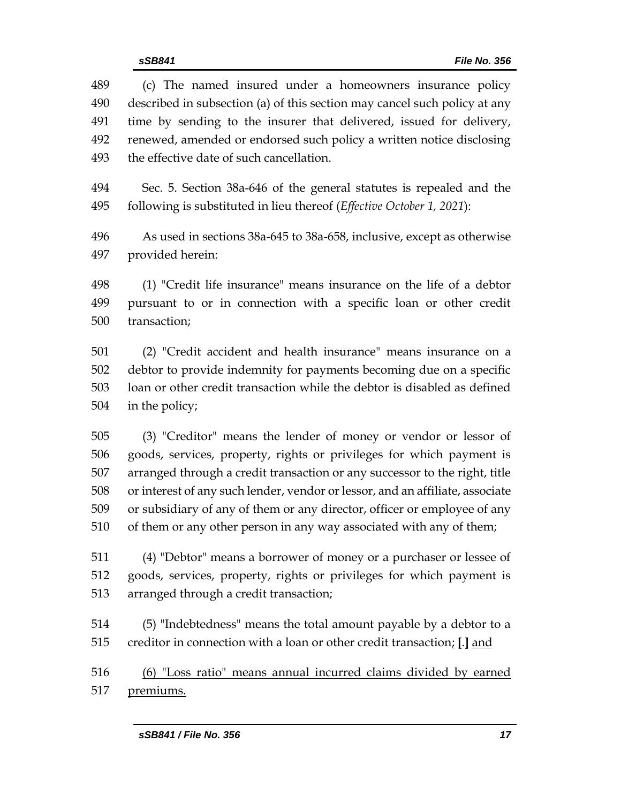| sSB841 / File No. 356<br>17                                                                                                                                                                                                                                                                                                                                                                                                                               |
|-----------------------------------------------------------------------------------------------------------------------------------------------------------------------------------------------------------------------------------------------------------------------------------------------------------------------------------------------------------------------------------------------------------------------------------------------------------|
| premiums.                                                                                                                                                                                                                                                                                                                                                                                                                                                 |
| (6) "Loss ratio" means annual incurred claims divided by earned                                                                                                                                                                                                                                                                                                                                                                                           |
| (5) "Indebtedness" means the total amount payable by a debtor to a<br>creditor in connection with a loan or other credit transaction; [.] and                                                                                                                                                                                                                                                                                                             |
| (4) "Debtor" means a borrower of money or a purchaser or lessee of<br>goods, services, property, rights or privileges for which payment is<br>arranged through a credit transaction;                                                                                                                                                                                                                                                                      |
| (3) "Creditor" means the lender of money or vendor or lessor of<br>goods, services, property, rights or privileges for which payment is<br>arranged through a credit transaction or any successor to the right, title<br>or interest of any such lender, vendor or lessor, and an affiliate, associate<br>or subsidiary of any of them or any director, officer or employee of any<br>of them or any other person in any way associated with any of them; |
| (2) "Credit accident and health insurance" means insurance on a<br>debtor to provide indemnity for payments becoming due on a specific<br>loan or other credit transaction while the debtor is disabled as defined<br>in the policy;                                                                                                                                                                                                                      |
| (1) "Credit life insurance" means insurance on the life of a debtor<br>pursuant to or in connection with a specific loan or other credit<br>transaction;                                                                                                                                                                                                                                                                                                  |
| As used in sections 38a-645 to 38a-658, inclusive, except as otherwise<br>provided herein:                                                                                                                                                                                                                                                                                                                                                                |
| Sec. 5. Section 38a-646 of the general statutes is repealed and the<br>following is substituted in lieu thereof (Effective October 1, 2021):                                                                                                                                                                                                                                                                                                              |
| renewed, amended or endorsed such policy a written notice disclosing<br>the effective date of such cancellation.                                                                                                                                                                                                                                                                                                                                          |

 (c) The named insured under a homeowners insurance policy described in subsection (a) of this section may cancel such policy at any time by sending to the insurer that delivered, issued for delivery,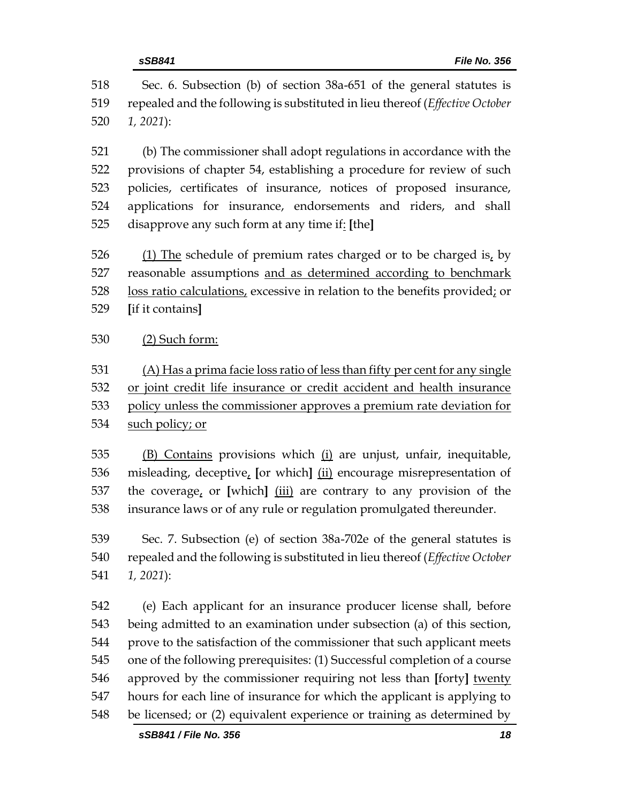Sec. 6. Subsection (b) of section 38a-651 of the general statutes is repealed and the following is substituted in lieu thereof (*Effective October 1, 2021*):

 (b) The commissioner shall adopt regulations in accordance with the provisions of chapter 54, establishing a procedure for review of such policies, certificates of insurance, notices of proposed insurance, applications for insurance, endorsements and riders, and shall disapprove any such form at any time if: **[**the**]**

 (1) The schedule of premium rates charged or to be charged is, by reasonable assumptions and as determined according to benchmark loss ratio calculations, excessive in relation to the benefits provided; or **[**if it contains**]**

(2) Such form:

 (A) Has a prima facie loss ratio of less than fifty per cent for any single or joint credit life insurance or credit accident and health insurance policy unless the commissioner approves a premium rate deviation for such policy; or

 (B) Contains provisions which (i) are unjust, unfair, inequitable, misleading, deceptive, **[**or which**]** (ii) encourage misrepresentation of the coverage, or **[**which**]** (iii) are contrary to any provision of the insurance laws or of any rule or regulation promulgated thereunder.

 Sec. 7. Subsection (e) of section 38a-702e of the general statutes is repealed and the following is substituted in lieu thereof (*Effective October 1, 2021*):

 (e) Each applicant for an insurance producer license shall, before being admitted to an examination under subsection (a) of this section, prove to the satisfaction of the commissioner that such applicant meets one of the following prerequisites: (1) Successful completion of a course approved by the commissioner requiring not less than **[**forty**]** twenty hours for each line of insurance for which the applicant is applying to be licensed; or (2) equivalent experience or training as determined by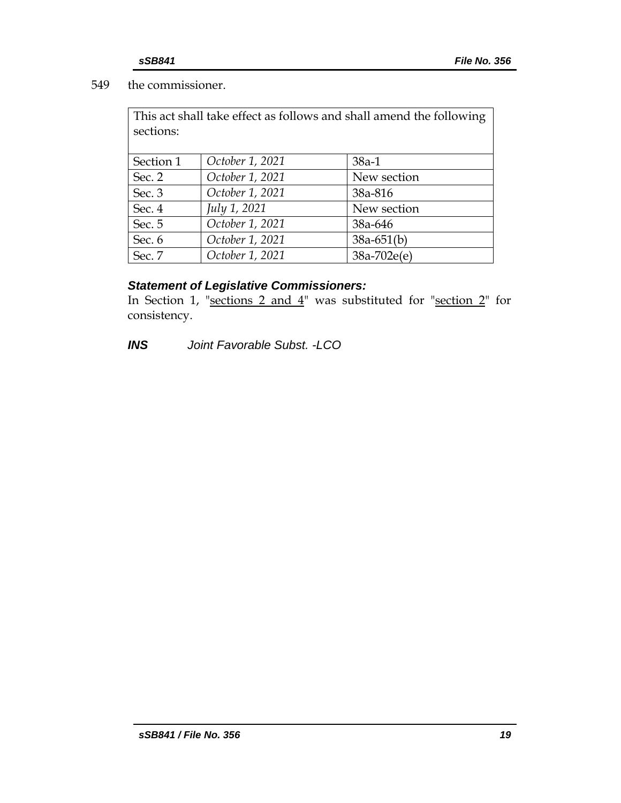# 549 the commissioner.

| This act shall take effect as follows and shall amend the following |                 |             |  |  |  |  |  |
|---------------------------------------------------------------------|-----------------|-------------|--|--|--|--|--|
| sections:                                                           |                 |             |  |  |  |  |  |
|                                                                     |                 |             |  |  |  |  |  |
| Section 1                                                           | October 1, 2021 | $38a-1$     |  |  |  |  |  |
| Sec. 2                                                              | October 1, 2021 | New section |  |  |  |  |  |
| Sec. 3                                                              | October 1, 2021 | 38a-816     |  |  |  |  |  |
|                                                                     | July 1, 2021    | New section |  |  |  |  |  |

| $UU \cdot T$ | $\mu$ , $\mu$ , $\mu$ | <b>INCHY SUCLIUIL</b> |
|--------------|-----------------------|-----------------------|
| Sec. 5       | October 1, 2021       | 38a-646               |
| Sec. 6       | October 1, 2021       | $38a - 651(b)$        |
| Sec. 7       | October 1, 2021       | $38a-702e(e)$         |

# *Statement of Legislative Commissioners:*

In Section 1, "sections 2 and  $4$ " was substituted for "section 2" for consistency.

*INS Joint Favorable Subst. -LCO*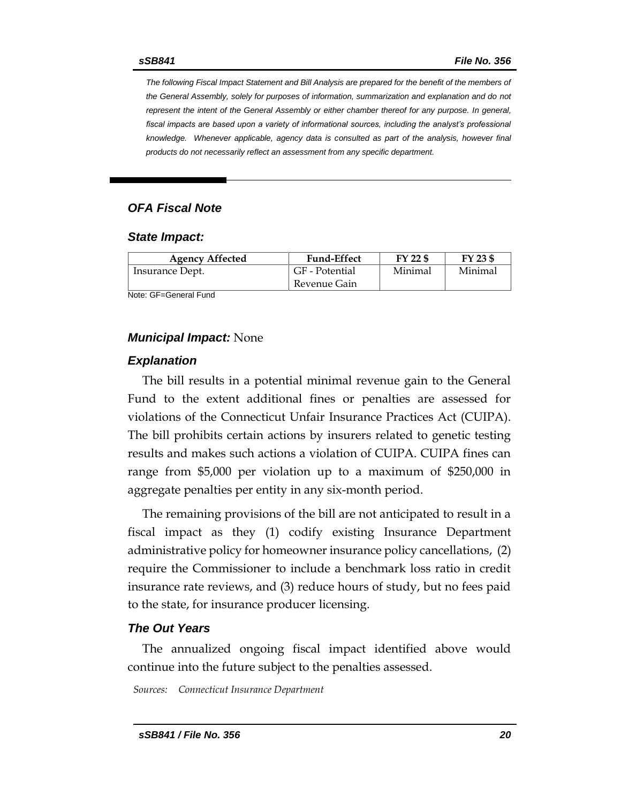*The following Fiscal Impact Statement and Bill Analysis are prepared for the benefit of the members of the General Assembly, solely for purposes of information, summarization and explanation and do not represent the intent of the General Assembly or either chamber thereof for any purpose. In general,*  fiscal impacts are based upon a variety of informational sources, including the analyst's professional *knowledge. Whenever applicable, agency data is consulted as part of the analysis, however final products do not necessarily reflect an assessment from any specific department.*

### *OFA Fiscal Note*

#### *State Impact:*

| <b>Agency Affected</b> | <b>Fund-Effect</b> | FY 22 \$ | FY 23 \$ |
|------------------------|--------------------|----------|----------|
| Insurance Dept.        | GF - Potential     | Minimal  | Minimal  |
|                        | Revenue Gain       |          |          |

Note: GF=General Fund

#### *Municipal Impact:* None

#### *Explanation*

The bill results in a potential minimal revenue gain to the General Fund to the extent additional fines or penalties are assessed for violations of the Connecticut Unfair Insurance Practices Act (CUIPA). The bill prohibits certain actions by insurers related to genetic testing results and makes such actions a violation of CUIPA. CUIPA fines can range from \$5,000 per violation up to a maximum of \$250,000 in aggregate penalties per entity in any six-month period.

The remaining provisions of the bill are not anticipated to result in a fiscal impact as they (1) codify existing Insurance Department administrative policy for homeowner insurance policy cancellations, (2) require the Commissioner to include a benchmark loss ratio in credit insurance rate reviews, and (3) reduce hours of study, but no fees paid to the state, for insurance producer licensing.

#### *The Out Years*

The annualized ongoing fiscal impact identified above would continue into the future subject to the penalties assessed.

*Sources: Connecticut Insurance Department*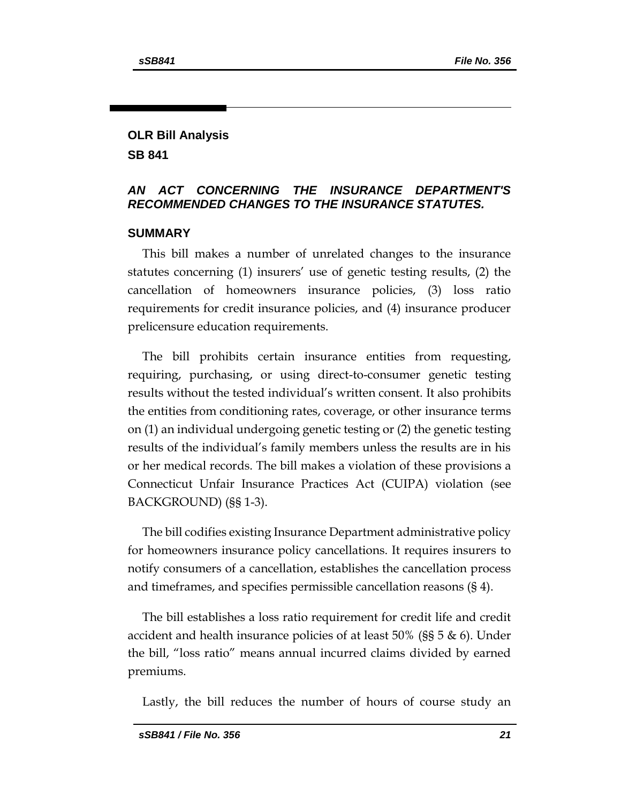# **OLR Bill Analysis SB 841**

# *AN ACT CONCERNING THE INSURANCE DEPARTMENT'S RECOMMENDED CHANGES TO THE INSURANCE STATUTES.*

# **SUMMARY**

This bill makes a number of unrelated changes to the insurance statutes concerning (1) insurers' use of genetic testing results, (2) the cancellation of homeowners insurance policies, (3) loss ratio requirements for credit insurance policies, and (4) insurance producer prelicensure education requirements.

The bill prohibits certain insurance entities from requesting, requiring, purchasing, or using direct-to-consumer genetic testing results without the tested individual's written consent. It also prohibits the entities from conditioning rates, coverage, or other insurance terms on (1) an individual undergoing genetic testing or (2) the genetic testing results of the individual's family members unless the results are in his or her medical records. The bill makes a violation of these provisions a Connecticut Unfair Insurance Practices Act (CUIPA) violation (see BACKGROUND) (§§ 1-3).

The bill codifies existing Insurance Department administrative policy for homeowners insurance policy cancellations. It requires insurers to notify consumers of a cancellation, establishes the cancellation process and timeframes, and specifies permissible cancellation reasons (§ 4).

The bill establishes a loss ratio requirement for credit life and credit accident and health insurance policies of at least 50% (§§ 5 & 6). Under the bill, "loss ratio" means annual incurred claims divided by earned premiums.

Lastly, the bill reduces the number of hours of course study an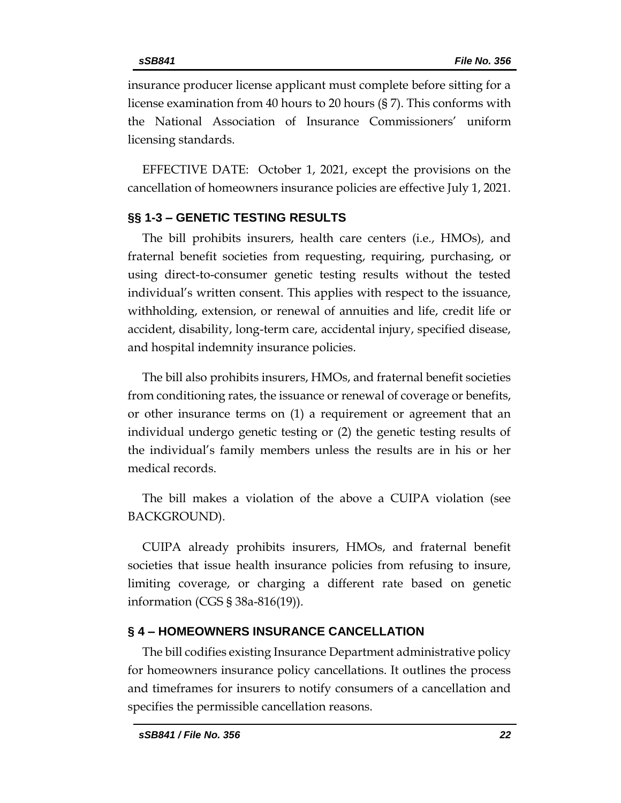insurance producer license applicant must complete before sitting for a license examination from 40 hours to 20 hours (§ 7). This conforms with the National Association of Insurance Commissioners' uniform licensing standards.

EFFECTIVE DATE: October 1, 2021, except the provisions on the cancellation of homeowners insurance policies are effective July 1, 2021.

# **§§ 1-3 – GENETIC TESTING RESULTS**

The bill prohibits insurers, health care centers (i.e., HMOs), and fraternal benefit societies from requesting, requiring, purchasing, or using direct-to-consumer genetic testing results without the tested individual's written consent. This applies with respect to the issuance, withholding, extension, or renewal of annuities and life, credit life or accident, disability, long-term care, accidental injury, specified disease, and hospital indemnity insurance policies.

The bill also prohibits insurers, HMOs, and fraternal benefit societies from conditioning rates, the issuance or renewal of coverage or benefits, or other insurance terms on (1) a requirement or agreement that an individual undergo genetic testing or (2) the genetic testing results of the individual's family members unless the results are in his or her medical records.

The bill makes a violation of the above a CUIPA violation (see BACKGROUND).

CUIPA already prohibits insurers, HMOs, and fraternal benefit societies that issue health insurance policies from refusing to insure, limiting coverage, or charging a different rate based on genetic information (CGS § 38a-816(19)).

# **§ 4 – HOMEOWNERS INSURANCE CANCELLATION**

The bill codifies existing Insurance Department administrative policy for homeowners insurance policy cancellations. It outlines the process and timeframes for insurers to notify consumers of a cancellation and specifies the permissible cancellation reasons.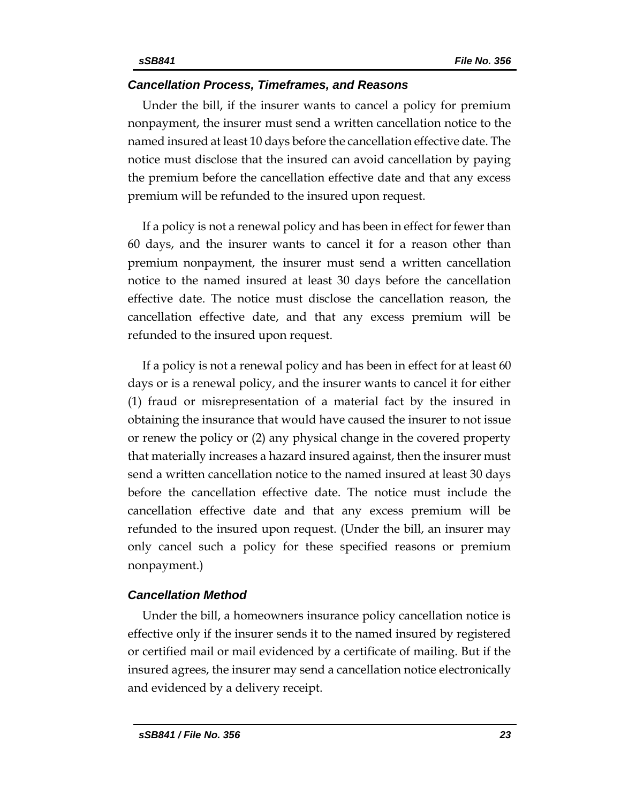### *Cancellation Process, Timeframes, and Reasons*

Under the bill, if the insurer wants to cancel a policy for premium nonpayment, the insurer must send a written cancellation notice to the named insured at least 10 days before the cancellation effective date. The notice must disclose that the insured can avoid cancellation by paying the premium before the cancellation effective date and that any excess premium will be refunded to the insured upon request.

If a policy is not a renewal policy and has been in effect for fewer than 60 days, and the insurer wants to cancel it for a reason other than premium nonpayment, the insurer must send a written cancellation notice to the named insured at least 30 days before the cancellation effective date. The notice must disclose the cancellation reason, the cancellation effective date, and that any excess premium will be refunded to the insured upon request.

If a policy is not a renewal policy and has been in effect for at least 60 days or is a renewal policy, and the insurer wants to cancel it for either (1) fraud or misrepresentation of a material fact by the insured in obtaining the insurance that would have caused the insurer to not issue or renew the policy or (2) any physical change in the covered property that materially increases a hazard insured against, then the insurer must send a written cancellation notice to the named insured at least 30 days before the cancellation effective date. The notice must include the cancellation effective date and that any excess premium will be refunded to the insured upon request. (Under the bill, an insurer may only cancel such a policy for these specified reasons or premium nonpayment.)

# *Cancellation Method*

Under the bill, a homeowners insurance policy cancellation notice is effective only if the insurer sends it to the named insured by registered or certified mail or mail evidenced by a certificate of mailing. But if the insured agrees, the insurer may send a cancellation notice electronically and evidenced by a delivery receipt.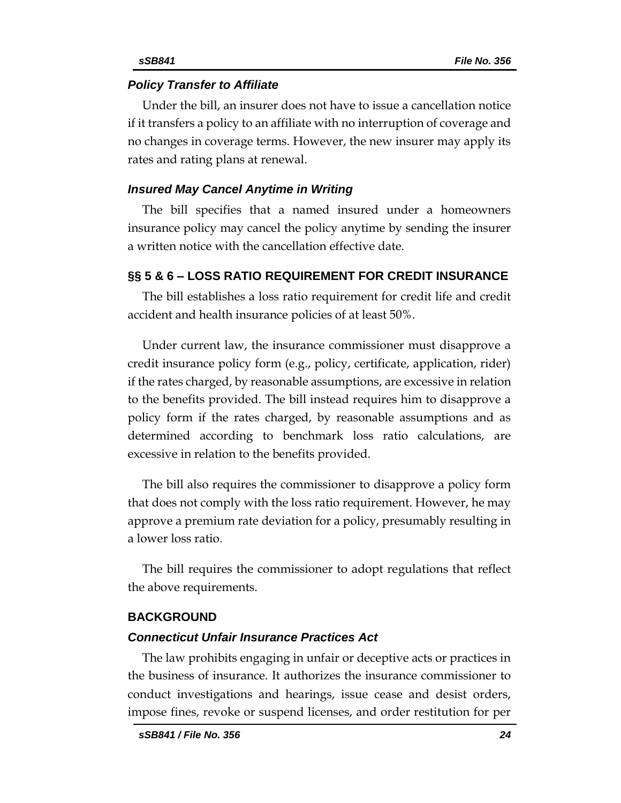#### *Policy Transfer to Affiliate*

Under the bill, an insurer does not have to issue a cancellation notice if it transfers a policy to an affiliate with no interruption of coverage and no changes in coverage terms. However, the new insurer may apply its rates and rating plans at renewal.

#### *Insured May Cancel Anytime in Writing*

The bill specifies that a named insured under a homeowners insurance policy may cancel the policy anytime by sending the insurer a written notice with the cancellation effective date.

#### **§§ 5 & 6 – LOSS RATIO REQUIREMENT FOR CREDIT INSURANCE**

The bill establishes a loss ratio requirement for credit life and credit accident and health insurance policies of at least 50%.

Under current law, the insurance commissioner must disapprove a credit insurance policy form (e.g., policy, certificate, application, rider) if the rates charged, by reasonable assumptions, are excessive in relation to the benefits provided. The bill instead requires him to disapprove a policy form if the rates charged, by reasonable assumptions and as determined according to benchmark loss ratio calculations, are excessive in relation to the benefits provided.

The bill also requires the commissioner to disapprove a policy form that does not comply with the loss ratio requirement. However, he may approve a premium rate deviation for a policy, presumably resulting in a lower loss ratio.

The bill requires the commissioner to adopt regulations that reflect the above requirements.

#### **BACKGROUND**

#### *Connecticut Unfair Insurance Practices Act*

The law prohibits engaging in unfair or deceptive acts or practices in the business of insurance. It authorizes the insurance commissioner to conduct investigations and hearings, issue cease and desist orders, impose fines, revoke or suspend licenses, and order restitution for per